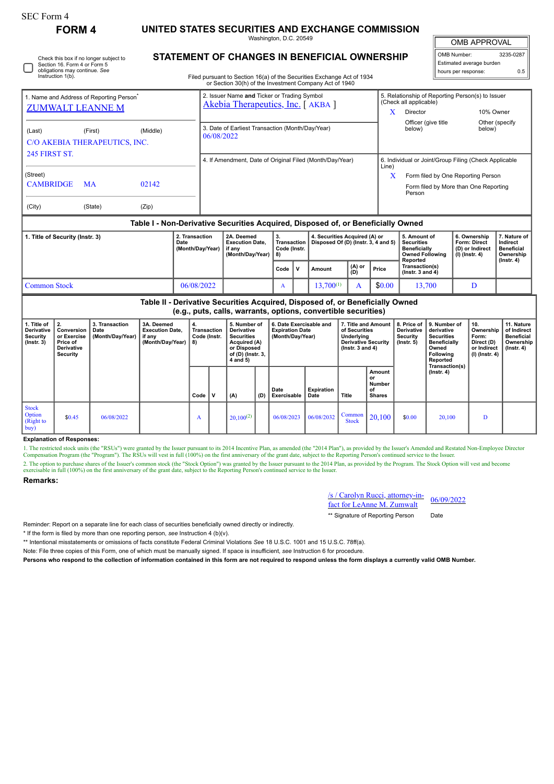|  | SEC Form 4 |  |
|--|------------|--|
|--|------------|--|

Check this box if no longer subject to Section 16. Form 4 or Form 5 obligations may continue. *See* Instruction 1(b).

# **FORM 4 UNITED STATES SECURITIES AND EXCHANGE COMMISSION**

Washington, D.C. 20549 **STATEMENT OF CHANGES IN BENEFICIAL OWNERSHIP**

OMB APPROVAL

| OMB Number:              | 3235-0287 |  |  |  |  |  |  |
|--------------------------|-----------|--|--|--|--|--|--|
| Estimated average burden |           |  |  |  |  |  |  |
| hours per response:      | 0.5       |  |  |  |  |  |  |

Filed pursuant to Section 16(a) of the Securities Exchange Act of 1934

|                                                                                  |           |                                            |                                                                    | or Section 30(h) of the Investment Company Act of 1940                          |      |                                                                      |        |                                                 |                                                                                                |                                                                          |                                                                                |  |  |
|----------------------------------------------------------------------------------|-----------|--------------------------------------------|--------------------------------------------------------------------|---------------------------------------------------------------------------------|------|----------------------------------------------------------------------|--------|-------------------------------------------------|------------------------------------------------------------------------------------------------|--------------------------------------------------------------------------|--------------------------------------------------------------------------------|--|--|
| 1. Name and Address of Reporting Person <sup>®</sup><br><b>ZUMWALT LEANNE M</b>  |           |                                            |                                                                    | 2. Issuer Name and Ticker or Trading Symbol<br>Akebia Therapeutics, Inc. [AKBA] |      |                                                                      |        |                                                 | 5. Relationship of Reporting Person(s) to Issuer<br>(Check all applicable)                     |                                                                          |                                                                                |  |  |
|                                                                                  |           |                                            |                                                                    |                                                                                 |      |                                                                      |        |                                                 | X.                                                                                             | Director                                                                 | 10% Owner                                                                      |  |  |
| (Last)<br>C/O AKEBIA THERAPEUTICS, INC.                                          | (First)   | (Middle)                                   |                                                                    | 3. Date of Earliest Transaction (Month/Day/Year)<br>06/08/2022                  |      |                                                                      |        |                                                 | Officer (give title<br>below)                                                                  | below)                                                                   | Other (specify                                                                 |  |  |
| <b>245 FIRST ST.</b>                                                             |           |                                            |                                                                    | 4. If Amendment, Date of Original Filed (Month/Day/Year)                        |      |                                                                      |        | Line)                                           | 6. Individual or Joint/Group Filing (Check Applicable                                          |                                                                          |                                                                                |  |  |
| (Street)                                                                         |           |                                            |                                                                    |                                                                                 |      |                                                                      |        |                                                 | X                                                                                              | Form filed by One Reporting Person                                       |                                                                                |  |  |
| <b>CAMBRIDGE</b>                                                                 | <b>MA</b> | 02142                                      |                                                                    |                                                                                 |      |                                                                      |        | Form filed by More than One Reporting<br>Person |                                                                                                |                                                                          |                                                                                |  |  |
| (City)                                                                           | (State)   | (Zip)                                      |                                                                    |                                                                                 |      |                                                                      |        |                                                 |                                                                                                |                                                                          |                                                                                |  |  |
| Table I - Non-Derivative Securities Acquired, Disposed of, or Beneficially Owned |           |                                            |                                                                    |                                                                                 |      |                                                                      |        |                                                 |                                                                                                |                                                                          |                                                                                |  |  |
| 1. Title of Security (Instr. 3)                                                  |           | 2. Transaction<br>Date<br>(Month/Day/Year) | 2A. Deemed<br><b>Execution Date.</b><br>if any<br>(Month/Day/Year) | 3.<br>Transaction<br>Code (Instr.<br>-8)                                        |      | 4. Securities Acquired (A) or<br>Disposed Of (D) (Instr. 3, 4 and 5) |        |                                                 | 5. Amount of<br><b>Securities</b><br><b>Beneficially</b><br><b>Owned Following</b><br>Reported | 6. Ownership<br><b>Form: Direct</b><br>(D) or Indirect<br>(I) (Instr. 4) | 7. Nature of<br>Indirect<br><b>Beneficial</b><br>Ownership<br>$($ Instr. 4 $)$ |  |  |
|                                                                                  |           |                                            |                                                                    |                                                                                 | Code | v                                                                    | Amount | (A) or<br>(D)                                   | Price                                                                                          | Transaction(s)<br>$($ lnstr. 3 and 4 $)$                                 |                                                                                |  |  |
|                                                                                  |           |                                            |                                                                    |                                                                                 |      |                                                                      |        |                                                 |                                                                                                | .                                                                        |                                                                                |  |  |

#### Common Stock 19. 106/08/2022 | A 13,700<sup>(1)</sup> A 1\$0.00 13,700 D **Table II - Derivative Securities Acquired, Disposed of, or Beneficially Owned (e.g., puts, calls, warrants, options, convertible securities) 1. Title of Derivative Security (Instr. 3) 2. Conversion or Exercise Price of Derivative Security 3. Transaction Date (Month/Day/Year) 3A. Deemed Execution Date, if any (Month/Day/Year) 4. Transaction Code (Instr. 8) 5. Number of Derivative Securities Acquired (A) or Disposed of (D) (Instr. 3, 4 and 5) 6. Date Exercisable and Expiration Date (Month/Day/Year) 7. Title and Amount of Securities Underlying Derivative Security (Instr. 3 and 4) 8. Price of Derivative Security (Instr. 5) 9. Number of derivative Securities Beneficially Owned Following Reported Transaction(s) (Instr. 4) 10. Ownership Form: Direct (D) or Indirect (I) (Instr. 4) 11. Nature of Indirect Beneficial Ownership (Instr. 4) Code V (A) (D) Date Exercisable Expiration Date Title Amount or Number of Shares** Stock **Option** (Right to buy)  $\bullet$  06/08/2022  $\parallel$  A  $\parallel$  20,100<sup>(2)</sup> 06/08/2023 06/08/2032 Common  $\begin{array}{|c|c|c|c|c|c|c|c|} \hline \text{Common} & 20,100 & 0.00 & 20,100 & D \ \hline \end{array}$

### **Explanation of Responses:**

1. The restricted stock units (the "RSUs") were granted by the Issuer pursuant to its 2014 Incentive Plan, as amended (the "2014 Plan"), as provided by the Issuer's Amended and Restated Non-Employee Director Compensation Program (the "Program"). The RSUs will vest in full (100%) on the first anniversary of the grant date, subject to the Reporting Person's continued service to the Issuer. 2. The option to purchase shares of the Issuer's common stock (the "Stock Option") was granted by the Issuer pursuant to the 2014 Plan, as provided by the Program. The Stock Option will vest and become exercisable in full (100%) on the first anniversary of the grant date, subject to the Reporting Person's continued service to the Issuer.

## **Remarks:**

/s / Carolyn Rucci, attorney-in-

\*\* Signature of Reporting Person Date

Reminder: Report on a separate line for each class of securities beneficially owned directly or indirectly.

\* If the form is filed by more than one reporting person, *see* Instruction 4 (b)(v).

\*\* Intentional misstatements or omissions of facts constitute Federal Criminal Violations *See* 18 U.S.C. 1001 and 15 U.S.C. 78ff(a).

Note: File three copies of this Form, one of which must be manually signed. If space is insufficient, *see* Instruction 6 for procedure.

**Persons who respond to the collection of information contained in this form are not required to respond unless the form displays a currently valid OMB Number.**

 $\frac{f(S)}{S}$  Carolyn Kucci, attorney-in-<br>fact for LeAnne M. Zumwalt  $\frac{06}{09/2022}$